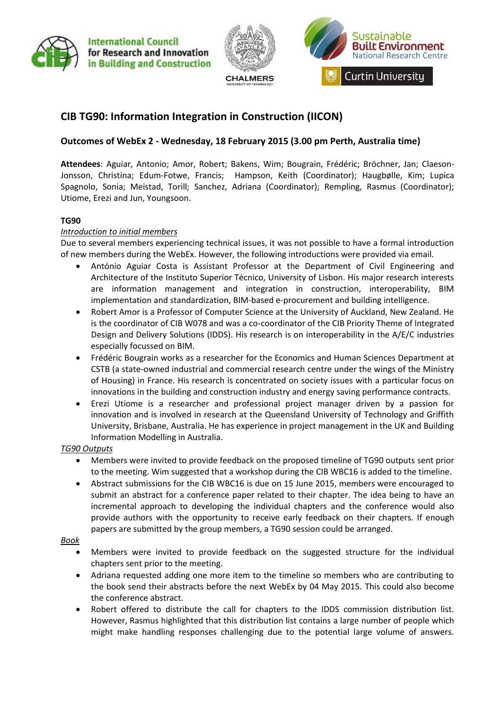



# **CIB TG90: Information Integration in Construction (IICON)**

## **Outcomes of WebEx 2 - Wednesday, 18 February 2015 (3.00 pm Perth, Australia time)**

**Attendees**: Aguiar, Antonio; Amor, Robert; Bakens, Wim; Bougrain, Frédéric; Bröchner, Jan; Claeson-Jonsson, Christina; Edum-Fotwe, Francis; Hampson, Keith (Coordinator); Haugbølle, Kim; Lupica Spagnolo, Sonia; Meistad, Torill; Sanchez, Adriana (Coordinator); Rempling, Rasmus (Coordinator); Utiome, Erezi and Jun, Youngsoon.

## **TG90**

## *Introduction to initial members*

Due to several members experiencing technical issues, it was not possible to have a formal introduction of new members during the WebEx. However, the following introductions were provided via email.

- António Aguiar Costa is Assistant Professor at the Department of Civil Engineering and Architecture of the Instituto Superior Técnico, University of Lisbon. His major research interests are information management and integration in construction, interoperability, BIM implementation and standardization, BIM-based e-procurement and building intelligence.
- Robert Amor is a Professor of Computer Science at the University of Auckland, New Zealand. He is the coordinator of CIB W078 and was a co-coordinator of the CIB Priority Theme of Integrated Design and Delivery Solutions (IDDS). His research is on interoperability in the A/E/C industries especially focussed on BIM.
- Frédéric Bougrain works as a researcher for the Economics and Human Sciences Department at CSTB (a state-owned industrial and commercial research centre under the wings of the Ministry of Housing) in France. His research is concentrated on society issues with a particular focus on innovations in the building and construction industry and energy saving performance contracts.
- Erezi Utiome is a researcher and professional project manager driven by a passion for innovation and is involved in research at the Queensland University of Technology and Griffith University, Brisbane, Australia. He has experience in project management in the UK and Building Information Modelling in Australia.

## *TG90 Outputs*

- Members were invited to provide feedback on the proposed timeline of TG90 outputs sent prior to the meeting. Wim suggested that a workshop during the CIB WBC16 is added to the timeline.
- Abstract submissions for the CIB WBC16 is due on 15 June 2015, members were encouraged to submit an abstract for a conference paper related to their chapter. The idea being to have an incremental approach to developing the individual chapters and the conference would also provide authors with the opportunity to receive early feedback on their chapters. If enough papers are submitted by the group members, a TG90 session could be arranged.

## *Book*

- Members were invited to provide feedback on the suggested structure for the individual chapters sent prior to the meeting.
- Adriana requested adding one more item to the timeline so members who are contributing to the book send their abstracts before the next WebEx by 04 May 2015. This could also become the conference abstract.
- Robert offered to distribute the call for chapters to the IDDS commission distribution list. However, Rasmus highlighted that this distribution list contains a large number of people which might make handling responses challenging due to the potential large volume of answers.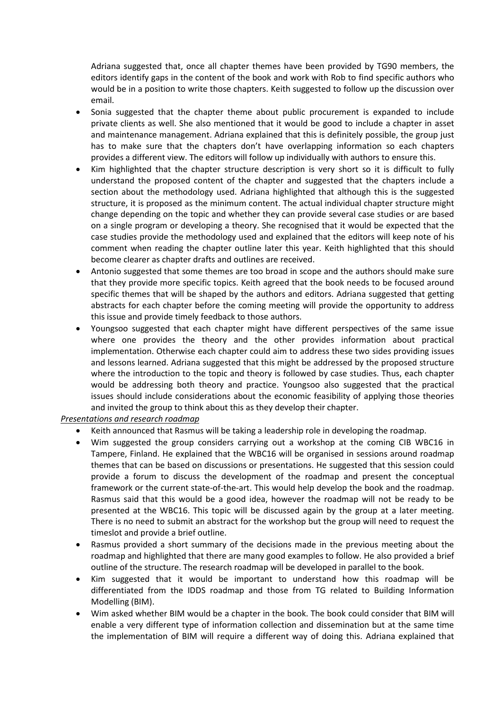Adriana suggested that, once all chapter themes have been provided by TG90 members, the editors identify gaps in the content of the book and work with Rob to find specific authors who would be in a position to write those chapters. Keith suggested to follow up the discussion over email.

- Sonia suggested that the chapter theme about public procurement is expanded to include private clients as well. She also mentioned that it would be good to include a chapter in asset and maintenance management. Adriana explained that this is definitely possible, the group just has to make sure that the chapters don't have overlapping information so each chapters provides a different view. The editors will follow up individually with authors to ensure this.
- Kim highlighted that the chapter structure description is very short so it is difficult to fully understand the proposed content of the chapter and suggested that the chapters include a section about the methodology used. Adriana highlighted that although this is the suggested structure, it is proposed as the minimum content. The actual individual chapter structure might change depending on the topic and whether they can provide several case studies or are based on a single program or developing a theory. She recognised that it would be expected that the case studies provide the methodology used and explained that the editors will keep note of his comment when reading the chapter outline later this year. Keith highlighted that this should become clearer as chapter drafts and outlines are received.
- Antonio suggested that some themes are too broad in scope and the authors should make sure that they provide more specific topics. Keith agreed that the book needs to be focused around specific themes that will be shaped by the authors and editors. Adriana suggested that getting abstracts for each chapter before the coming meeting will provide the opportunity to address this issue and provide timely feedback to those authors.
- Youngsoo suggested that each chapter might have different perspectives of the same issue where one provides the theory and the other provides information about practical implementation. Otherwise each chapter could aim to address these two sides providing issues and lessons learned. Adriana suggested that this might be addressed by the proposed structure where the introduction to the topic and theory is followed by case studies. Thus, each chapter would be addressing both theory and practice. Youngsoo also suggested that the practical issues should include considerations about the economic feasibility of applying those theories and invited the group to think about this as they develop their chapter.

#### *Presentations and research roadmap*

- Keith announced that Rasmus will be taking a leadership role in developing the roadmap.
- Wim suggested the group considers carrying out a workshop at the coming CIB WBC16 in Tampere, Finland. He explained that the WBC16 will be organised in sessions around roadmap themes that can be based on discussions or presentations. He suggested that this session could provide a forum to discuss the development of the roadmap and present the conceptual framework or the current state-of-the-art. This would help develop the book and the roadmap. Rasmus said that this would be a good idea, however the roadmap will not be ready to be presented at the WBC16. This topic will be discussed again by the group at a later meeting. There is no need to submit an abstract for the workshop but the group will need to request the timeslot and provide a brief outline.
- Rasmus provided a short summary of the decisions made in the previous meeting about the roadmap and highlighted that there are many good examples to follow. He also provided a brief outline of the structure. The research roadmap will be developed in parallel to the book.
- Kim suggested that it would be important to understand how this roadmap will be differentiated from the IDDS roadmap and those from TG related to Building Information Modelling (BIM).
- Wim asked whether BIM would be a chapter in the book. The book could consider that BIM will enable a very different type of information collection and dissemination but at the same time the implementation of BIM will require a different way of doing this. Adriana explained that